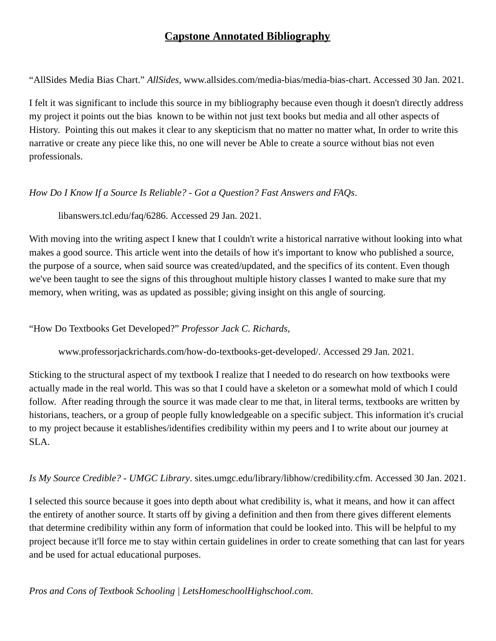# **Capstone Annotated Bibliography**

"AllSides Media Bias Chart." *AllSides* , www.allsides.com/media-bias/media-bias-chart. Accessed 30 Jan. 2021.

I felt it was significant to include this source in my bibliography because even though it doesn't directly address my project it points out the bias known to be within not just text books but media and all other aspects of History. Pointing this out makes it clear to any skepticism that no matter no matter what, In order to write this narrative or create any piece like this, no one will never be Able to create a source without bias not even professionals.

## *How Do I Know If a Source Is Reliable? - Got a Question? Fast Answers and FAQs* .

libanswers.tcl.edu/faq/6286. Accessed 29 Jan. 2021.

With moving into the writing aspect I knew that I couldn't write a historical narrative without looking into what makes a good source. This article went into the details of how it's important to know who published a source, the purpose of a source, when said source was created/updated, and the specifics of its content. Even though we've been taught to see the signs of this throughout multiple history classes I wanted to make sure that my memory, when writing, was as updated as possible; giving insight on this angle of sourcing.

## "How Do Textbooks Get Developed?" *Professor Jack C. Richards* ,

www.professorjackrichards.com/how-do-textbooks-get-developed/. Accessed 29 Jan. 2021.

Sticking to the structural aspect of my textbook I realize that I needed to do research on how textbooks were actually made in the real world. This was so that I could have a skeleton or a somewhat mold of which I could follow. After reading through the source it was made clear to me that, in literal terms, textbooks are written by historians, teachers, or a group of people fully knowledgeable on a specific subject. This information it's crucial to my project because it establishes/identifies credibility within my peers and I to write about our journey at SLA.

## *Is My Source Credible? - UMGC Library* . sites.umgc.edu/library/libhow/credibility.cfm. Accessed 30 Jan. 2021.

I selected this source because it goes into depth about what credibility is, what it means, and how it can affect the entirety of another source. It starts off by giving a definition and then from there gives different elements that determine credibility within any form of information that could be looked into. This will be helpful to my project because it'll force me to stay within certain guidelines in order to create something that can last for years and be used for actual educational purposes.

## *Pros and Cons of Textbook Schooling | LetsHomeschoolHighschool.com* .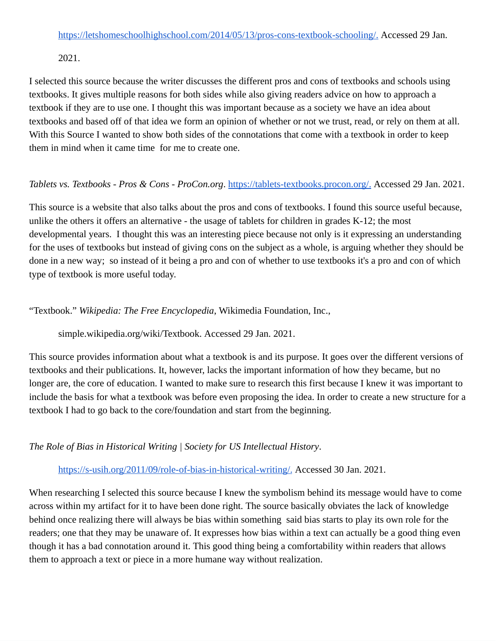2021.

I selected this source because the writer discusses the different pros and cons of textbooks and schools using textbooks. It gives multiple reasons for both sides while also giving readers advice on how to approach a textbook if they are to use one. I thought this was important because as a society we have an idea about textbooks and based off of that idea we form an opinion of whether or not we trust, read, or rely on them at all. With this Source I wanted to show both sides of the connotations that come with a textbook in order to keep them in mind when it came time for me to create one.

## *Tablets vs. Textbooks - Pros & Cons - ProCon.org.* [https://tablets-textbooks.procon.org/.](https://tablets-textbooks.procon.org/) Accessed 29 Jan. 2021.

This source is a website that also talks about the pros and cons of textbooks. I found this source useful because, unlike the others it offers an alternative - the usage of tablets for children in grades K-12; the most developmental years. I thought this was an interesting piece because not only is it expressing an understanding for the uses of textbooks but instead of giving cons on the subject as a whole, is arguing whether they should be done in a new way; so instead of it being a pro and con of whether to use textbooks it's a pro and con of which type of textbook is more useful today.

"Textbook." *Wikipedia: The Free Encyclopedia* , Wikimedia Foundation, Inc.,

simple.wikipedia.org/wiki/Textbook. Accessed 29 Jan. 2021.

This source provides information about what a textbook is and its purpose. It goes over the different versions of textbooks and their publications. It, however, lacks the important information of how they became, but no longer are, the core of education. I wanted to make sure to research this first because I knew it was important to include the basis for what a textbook was before even proposing the idea. In order to create a new structure for a textbook I had to go back to the core/foundation and start from the beginning.

*The Role of Bias in Historical Writing | Society for US Intellectual History* .

[https://s-usih.org/2011/09/role-of-bias-in-historical-writing/.](https://s-usih.org/2011/09/role-of-bias-in-historical-writing/) Accessed 30 Jan. 2021.

When researching I selected this source because I knew the symbolism behind its message would have to come across within my artifact for it to have been done right. The source basically obviates the lack of knowledge behind once realizing there will always be bias within something said bias starts to play its own role for the readers; one that they may be unaware of. It expresses how bias within a text can actually be a good thing even though it has a bad connotation around it. This good thing being a comfortability within readers that allows them to approach a text or piece in a more humane way without realization.